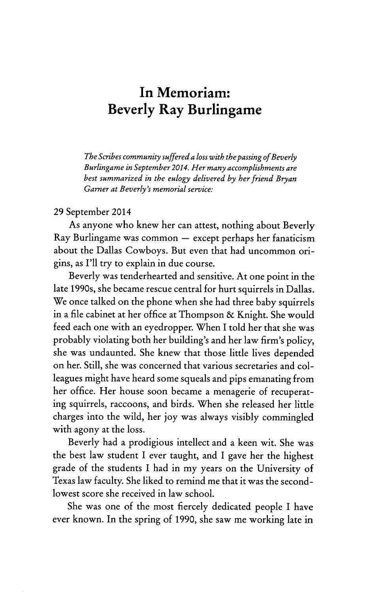## **In Memoriam: Beverly Ray Burlingame**

*The Scribes community suffered a loss with the passing of Beverly Burlingame in September 2014. Her many accomplishments are best summarized in the eulogy delivered by her friend Bryan Garner at Beverly's memorial service:*

## **29** September 2014

As anyone who knew her can attest, nothing about Beverly  $Ray$  Burlingame was common  $-$  except perhaps her fanaticism about the Dallas Cowboys. But even that had uncommon origins, as I'll try to explain in due course.

Beverly was tenderhearted and sensitive. At one point in the late 1990s, she became rescue central for hurt squirrels in Dallas. We once talked on the phone when she had three baby squirrels in a file cabinet at her office at Thompson **&** Knight. She would feed each one with an eyedropper. When I told her that she was probably violating both her building's and her law firm's policy, she was undaunted. She knew that those little lives depended on her. Still, she was concerned that various secretaries and colleagues might have heard some squeals and pips emanating from her office. Her house soon became a menagerie of recuperating squirrels, raccoons, and birds. When she released her little charges into the wild, her **joy** was always visibly commingled with agony at the loss.

Beverly had a prodigious intellect and a keen wit. She was the best law student I ever taught, and I gave her the highest grade of the students I had in my years on the University of Texas law faculty. She liked to remind me that it was the secondlowest score she received in law school.

She was one of the most fiercely dedicated people I have ever known. In the spring of **1990,** she saw me working late in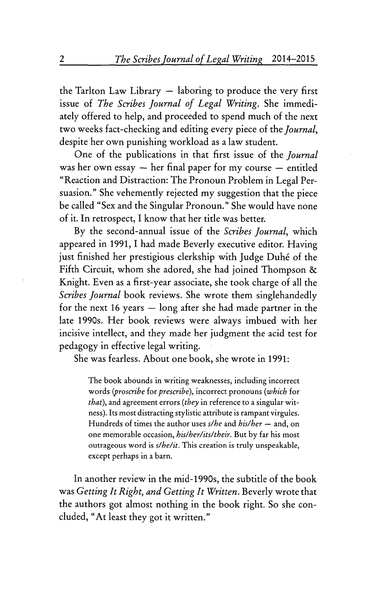the Tarlton Law Library  $-$  laboring to produce the very first issue of *The Scribes Journal of Legal Writing.* She immediately offered to help, and proceeded to spend much of the next two weeks fact-checking and editing every piece of the *Journal,* despite her own punishing workload as a law student.

One of the publications in that first issue of the *Journal* was her own essay  $-$  her final paper for my course  $-$  entitled "Reaction and Distraction: The Pronoun Problem in Legal Persuasion." She vehemently rejected my suggestion that the piece be called "Sex and the Singular Pronoun." She would have none of it. In retrospect, I know that her title was better.

By the second-annual issue of the *Scribes Journal,* which appeared in 1991, I had made Beverly executive editor. Having just finished her prestigious clerkship with Judge Duhé of the Fifth Circuit, whom she adored, she had joined Thompson & Knight. Even as a first-year associate, she took charge of all the *Scribes Journal* book reviews. She wrote them singlehandedly for the next 16 years  $-$  long after she had made partner in the late 1990s. Her book reviews were always imbued with her incisive intellect, and they made her judgment the acid test for pedagogy in effective legal writing.

She was fearless. About one book, she wrote in 1991:

The book abounds in writing weaknesses, including incorrect words *(proscribe for prescribe),* incorrect pronouns *(which* for *that),* and agreement errors *(they* in reference to a singular witness). Its most distracting stylistic attribute is rampant virgules. Hundreds of times the author uses *s/he* and *his/her* - and, on one memorable occasion, *his/her/its/their.* But by far his most outrageous word is *s/he/it.* This creation is truly unspeakable, except perhaps in a barn.

In another review in the mid-1990s, the subtitle of the book was *Getting It Right, and Getting It Written.* Beverly wrote that the authors got almost nothing in the book right. So she concluded, "At least they got it written."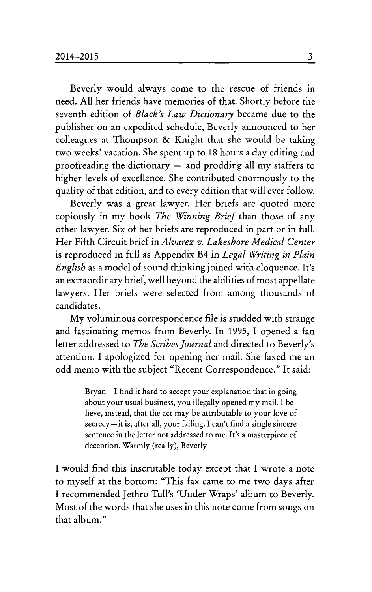Beverly would always come to the rescue of friends in need. All her friends have memories of that. Shortly before the seventh edition of *Black's Law Dictionary* became due to the publisher on an expedited schedule, Beverly announced to her colleagues at Thompson & Knight that she would be taking two weeks' vacation. She spent up to 18 hours a day editing and proofreading the dictionary  $-$  and prodding all my staffers to higher levels of excellence. She contributed enormously to the quality of that edition, and to every edition that will ever follow.

Beverly was a great lawyer. Her briefs are quoted more copiously in my book *The Winning Brief* than those of any other lawyer. Six of her briefs are reproduced in part or in full. Her Fifth Circuit brief in *Alvarez v. Lakeshore Medical Center* is reproduced in full as Appendix B4 in *Legal Writing in Plain English* as a model of sound thinking joined with eloquence. It's an extraordinary brief, well beyond the abilities of most appellate lawyers. Her briefs were selected from among thousands of candidates.

My voluminous correspondence file is studded with strange and fascinating memos from Beverly. In 1995, I opened a fan letter addressed to *The Scribes Journal* and directed to Beverly's attention. I apologized for opening her mail. She faxed me an odd memo with the subject "Recent Correspondence." It said:

> Bryan-I find it hard to accept your explanation that in going about your usual business, you illegally opened my mail. I believe, instead, that the act may be attributable to your love of secrecy-it is, after all, your failing. I can't find a single sincere sentence in the letter not addressed to me. It's a masterpiece of deception. Warmly (really), Beverly

I would find this inscrutable today except that I wrote a note to myself at the bottom: "This fax came to me two days after I recommended Jethro Tull's 'Under Wraps' album to Beverly. Most of the words that she uses in this note come from songs on that album."